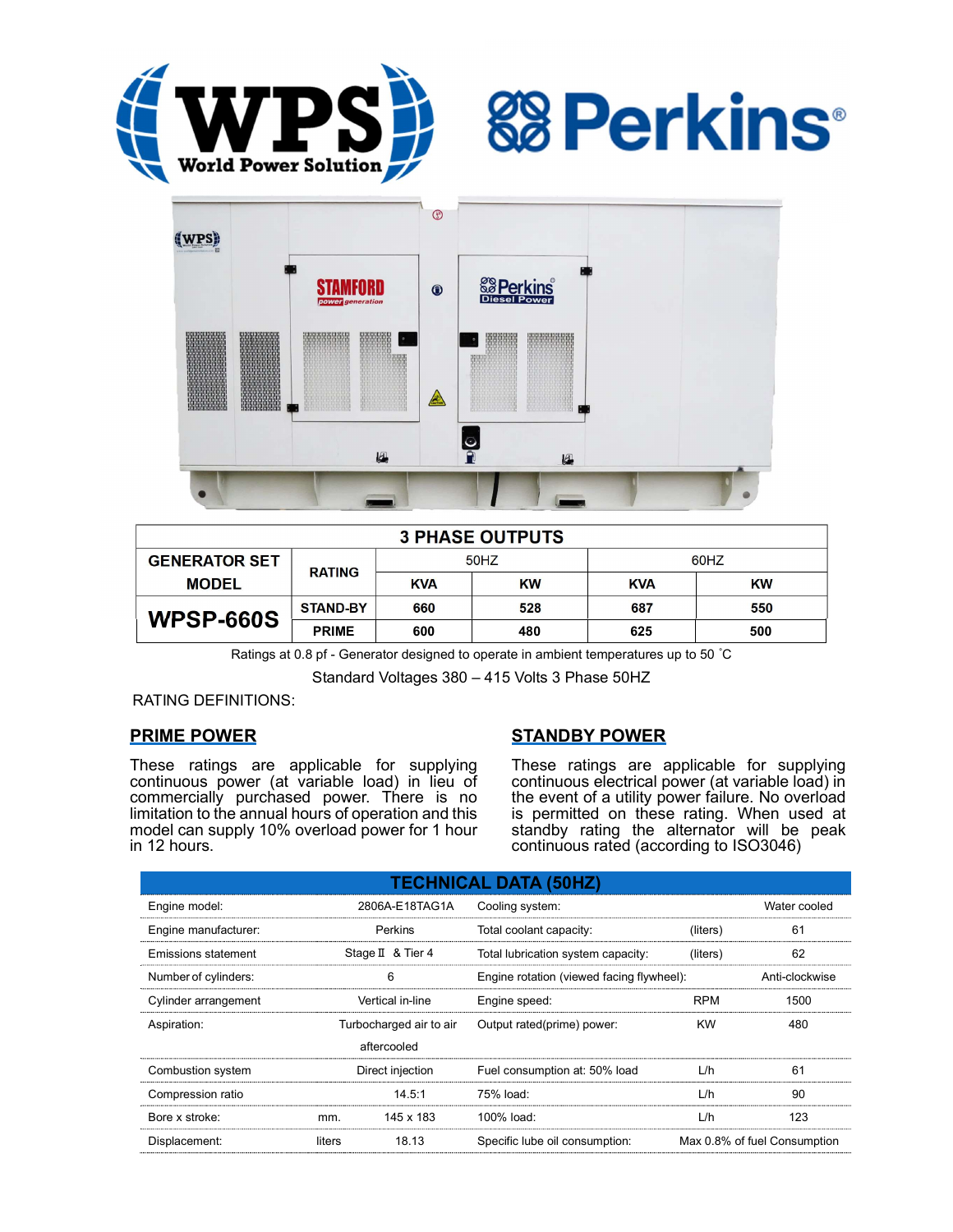





| <b>3 PHASE OUTPUTS</b> |                 |            |     |            |           |  |  |  |
|------------------------|-----------------|------------|-----|------------|-----------|--|--|--|
| <b>GENERATOR SET</b>   | <b>RATING</b>   | 50HZ       |     | 60HZ       |           |  |  |  |
| <b>MODEL</b>           |                 | <b>KVA</b> | KW  | <b>KVA</b> | <b>KW</b> |  |  |  |
| <b>WPSP-660S</b>       | <b>STAND-BY</b> | 660        | 528 | 687        | 550       |  |  |  |
|                        | <b>PRIME</b>    | 600        | 480 | 625        | 500       |  |  |  |

Ratings at 0.8 pf - Generator designed to operate in ambient temperatures up to 50 °C

Standard Voltages 380 – 415 Volts 3 Phase 50HZ

RATING DEFINITIONS:

# PRIME POWER

These ratings are applicable for supplying continuous power (at variable load) in lieu of commercially purchased power. There is no limitation to the annual hours of operation and this model can supply 10% overload power for 1 hour in 12 hours.

# STANDBY POWER

These ratings are applicable for supplying continuous electrical power (at variable load) in the event of a utility power failure. No overload is permitted on these rating. When used at standby rating the alternator will be peak continuous rated (according to ISO3046)

| <b>TECHNICAL DATA (50HZ)</b> |                         |           |                                           |              |                              |  |  |  |
|------------------------------|-------------------------|-----------|-------------------------------------------|--------------|------------------------------|--|--|--|
| Engine model:                | 2806A-E18TAG1A          |           | Cooling system:                           | Water cooled |                              |  |  |  |
| Engine manufacturer:         | Perkins                 |           | Total coolant capacity:                   | (liters)     | 61                           |  |  |  |
| Emissions statement          | Stage II & Tier 4       |           | Total lubrication system capacity:        | (liters)     | 62                           |  |  |  |
| Number of cylinders:         | 6                       |           | Engine rotation (viewed facing flywheel): |              | Anti-clockwise               |  |  |  |
| Cylinder arrangement         | Vertical in-line        |           | Engine speed:                             | <b>RPM</b>   | 1500                         |  |  |  |
| Aspiration:                  | Turbocharged air to air |           | Output rated(prime) power:                | <b>KW</b>    | 480                          |  |  |  |
|                              | aftercooled             |           |                                           |              |                              |  |  |  |
| Combustion system            | Direct injection        |           | Fuel consumption at: 50% load             | L/h          | 61                           |  |  |  |
| Compression ratio            |                         | 14.5:1    | 75% load:                                 | L/h          | 90                           |  |  |  |
| Bore x stroke:               | mm.                     | 145 x 183 | 100% load:                                | L/h          | 123                          |  |  |  |
| Displacement:                | liters                  | 18.13     | Specific lube oil consumption:            |              | Max 0.8% of fuel Consumption |  |  |  |